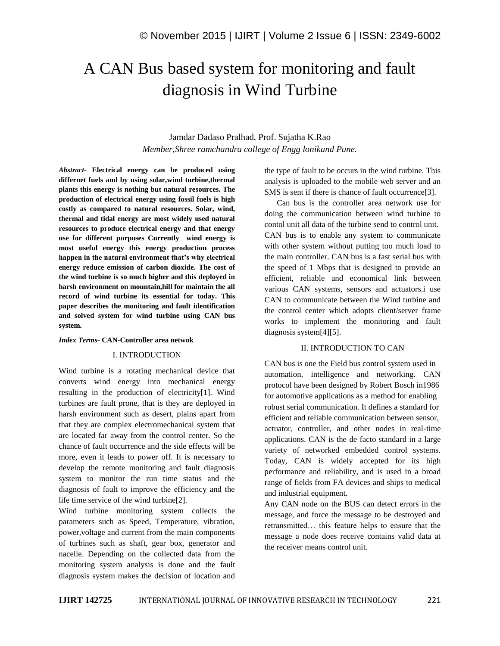# A CAN Bus based system for monitoring and fault diagnosis in Wind Turbine

# Jamdar Dadaso Pralhad, Prof. Sujatha K.Rao *Member,Shree ramchandra college of Engg lonikand Pune.*

*Abstract-* **Electrical energy can be produced using differnet fuels and by using solar,wind turbine,thermal plants this energy is nothing but natural resources. The production of electrical energy using fossil fuels is high costly as compared to natural resources. Solar, wind, thermal and tidal energy are most widely used natural resources to produce electrical energy and that energy use for different purposes Currently wind energy is most useful energy this energy production process happen in the natural environment that's why electrical energy reduce emission of carbon dioxide. The cost of the wind turbine is so much higher and this deployed in harsh environment on mountain,hill for maintain the all record of wind turbine its essential for today. This paper describes the monitoring and fault identification and solved system for wind turbine using CAN bus system.**

#### *Index Terms-* **CAN-Controller area netwok**

#### I. INTRODUCTION

Wind turbine is a rotating mechanical device that converts wind energy into mechanical energy resulting in the production of electricity[1]. Wind turbines are fault prone, that is they are deployed in harsh environment such as desert, plains apart from that they are complex electromechanical system that are located far away from the control center. So the chance of fault occurrence and the side effects will be more, even it leads to power off. It is necessary to develop the remote monitoring and fault diagnosis system to monitor the run time status and the diagnosis of fault to improve the efficiency and the life time service of the wind turbine[2].

Wind turbine monitoring system collects the parameters such as Speed, Temperature, vibration, power,voltage and current from the main components of turbines such as shaft, gear box, generator and nacelle. Depending on the collected data from the monitoring system analysis is done and the fault diagnosis system makes the decision of location and the type of fault to be occurs in the wind turbine. This analysis is uploaded to the mobile web server and an SMS is sent if there is chance of fault occurrence[3].

 Can bus is the controller area network use for doing the communication between wind turbine to contol unit all data of the turbine send to control unit. CAN bus is to enable any system to communicate with other system without putting too much load to the main controller. CAN bus is a fast serial bus with the speed of 1 Mbps that is designed to provide an efficient, reliable and economical link between various CAN systems, sensors and actuators.i use CAN to communicate between the Wind turbine and the control center which adopts client/server frame works to implement the monitoring and fault diagnosis system[4][5].

#### II. INTRODUCTION TO CAN

CAN bus is one the Field bus control system used in automation, intelligence and networking. CAN protocol have been designed by Robert Bosch in1986 for automotive applications as a method for enabling robust serial communication. It defines a standard for efficient and reliable communication between sensor, actuator, controller, and other nodes in real-time applications. CAN is the de facto standard in a large variety of networked embedded control systems. Today, CAN is widely accepted for its high performance and reliability, and is used in a broad range of fields from FA devices and ships to medical and industrial equipment.

Any CAN node on the BUS can detect errors in the message, and force the message to be destroyed and retransmitted… this feature helps to ensure that the message a node does receive contains valid data at the receiver means control unit.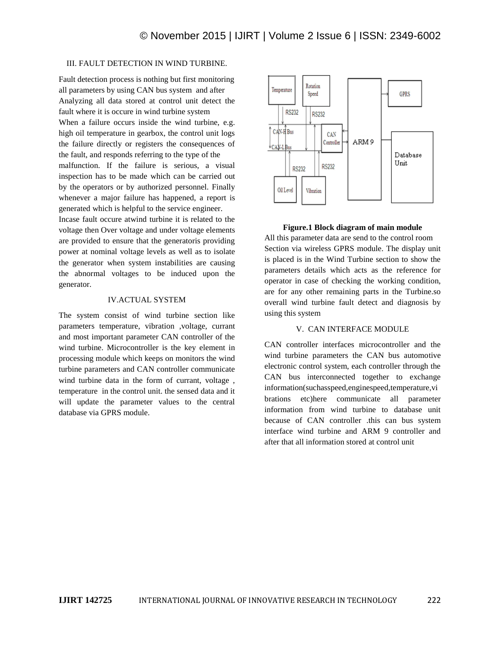## III. FAULT DETECTION IN WIND TURBINE.

Fault detection process is nothing but first monitoring all parameters by using CAN bus system and after Analyzing all data stored at control unit detect the fault where it is occure in wind turbine system When a failure occurs inside the wind turbine, e.g. high oil temperature in gearbox, the control unit logs the failure directly or registers the consequences of the fault, and responds referring to the type of the malfunction. If the failure is serious, a visual inspection has to be made which can be carried out by the operators or by authorized personnel. Finally whenever a major failure has happened, a report is generated which is helpful to the service engineer.

Incase fault occure atwind turbine it is related to the voltage then Over voltage and under voltage elements are provided to ensure that the generatoris providing power at nominal voltage levels as well as to isolate the generator when system instabilities are causing the abnormal voltages to be induced upon the generator.

#### IV.ACTUAL SYSTEM

The system consist of wind turbine section like parameters temperature, vibration ,voltage, currant and most important parameter CAN controller of the wind turbine. Microcontroller is the key element in processing module which keeps on monitors the wind turbine parameters and CAN controller communicate wind turbine data in the form of currant, voltage , temperature in the control unit. the sensed data and it will update the parameter values to the central database via GPRS module.



#### **Figure.1 Block diagram of main module**

All this parameter data are send to the control room Section via wireless GPRS module. The display unit is placed is in the Wind Turbine section to show the parameters details which acts as the reference for operator in case of checking the working condition, are for any other remaining parts in the Turbine.so overall wind turbine fault detect and diagnosis by using this system

#### V. CAN INTERFACE MODULE

CAN controller interfaces microcontroller and the wind turbine parameters the CAN bus automotive electronic control system, each controller through the CAN bus interconnected together to exchange information(suchasspeed,enginespeed,temperature,vi brations etc)here communicate all parameter information from wind turbine to database unit because of CAN controller .this can bus system interface wind turbine and ARM 9 controller and after that all information stored at control unit